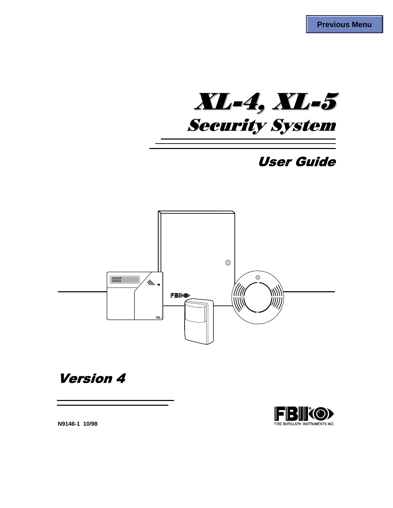XL-4, XL-5 **Security System** 

# **User Guide**



**Version 4** 

**FBIKO>** FIRE BURGLARY INSTRUMENTS INC.

**N9146-1 10/98**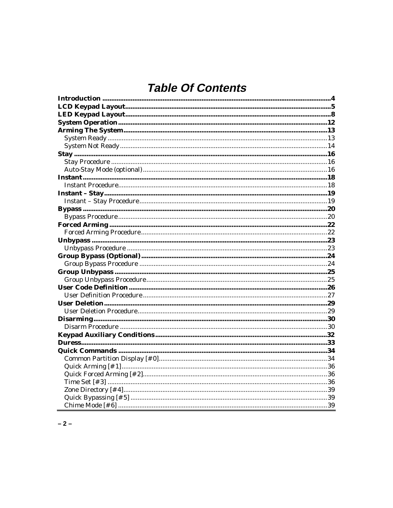# **Table Of Contents**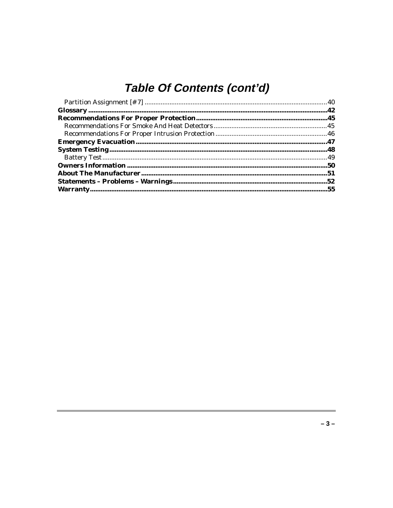# Table Of Contents (cont'd)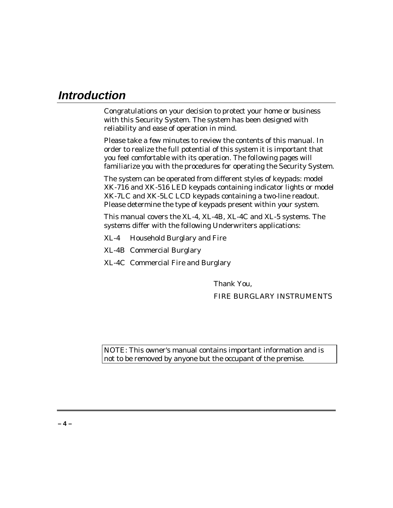### **Introduction**

Congratulations on your decision to protect your home or business with this Security System. The system has been designed with reliability and ease of operation in mind.

Please take a few minutes to review the contents of this manual. In order to realize the full potential of this system it is important that you feel comfortable with its operation. The following pages will familiarize you with the procedures for operating the Security System.

The system can be operated from different styles of keypads: model XK-716 and XK-516 LED keypads containing indicator lights or model XK-7LC and XK-5LC LCD keypads containing a two-line readout. Please determine the type of keypads present within your system.

This manual covers the XL-4, XL-4B, XL-4C and XL-5 systems. The systems differ with the following Underwriters applications:

- XL-4 Household Burglary and Fire
- XL-4B Commercial Burglary
- XL-4C Commercial Fire and Burglary

Thank You, FIRE BURGLARY INSTRUMENTS

NOTE: This owner's manual contains important information and is not to be removed by anyone but the occupant of the premise.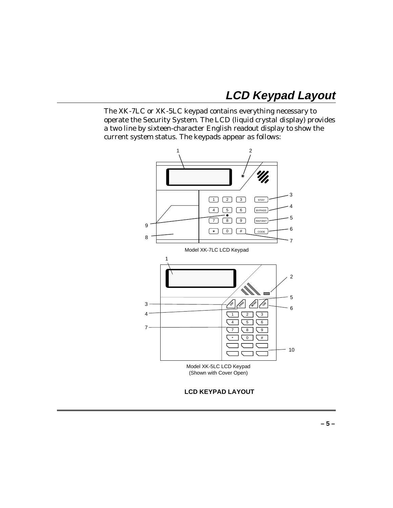## **LCD Keypad Layout**

The XK-7LC or XK-5LC keypad contains everything necessary to operate the Security System. The LCD (liquid crystal display) provides a two line by sixteen-character English readout display to show the current system status. The keypads appear as follows:



**LCD KEYPAD LAYOUT**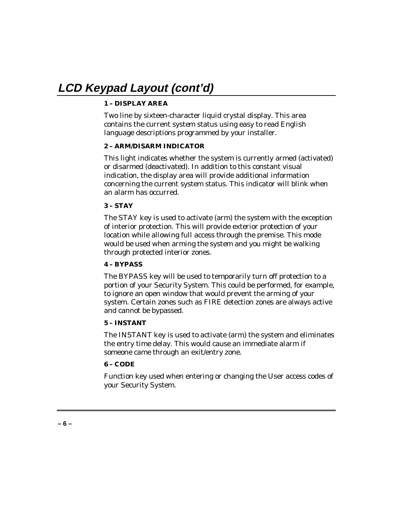# **LCD Keypad Layout (cont'd)**

### **1 – DISPLAY AREA**

Two line by sixteen-character liquid crystal display. This area contains the current system status using easy to read English language descriptions programmed by your installer.

### **2 – ARM/DISARM INDICATOR**

This light indicates whether the system is currently armed (activated) or disarmed (deactivated). In addition to this constant visual indication, the display area will provide additional information concerning the current system status. This indicator will blink when an alarm has occurred.

### **3 – STAY**

The STAY key is used to activate (arm) the system with the exception of interior protection. This will provide exterior protection of your location while allowing full access through the premise. This mode would be used when arming the system and you might be walking through protected interior zones.

### **4 – BYPASS**

The BYPASS key will be used to temporarily turn off protection to a portion of your Security System. This could be performed, for example, to ignore an open window that would prevent the arming of your system. Certain zones such as FIRE detection zones are always active and cannot be bypassed.

### **5 – INSTANT**

The INSTANT key is used to activate (arm) the system and eliminates the entry time delay. This would cause an immediate alarm if someone came through an exit/entry zone.

### **6 – CODE**

Function key used when entering or changing the User access codes of your Security System.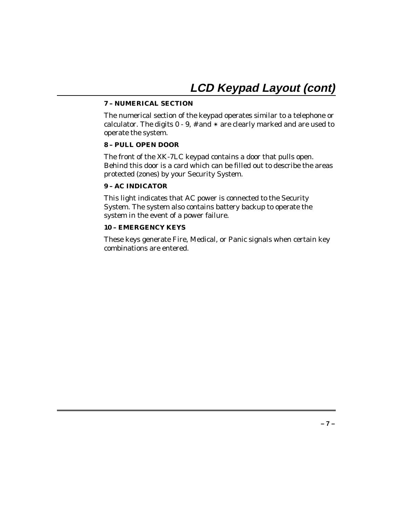### **7 – NUMERICAL SECTION**

The numerical section of the keypad operates similar to a telephone or calculator. The digits  $0 - 9$ , # and  $*$  are clearly marked and are used to operate the system.

### **8 – PULL OPEN DOOR**

The front of the XK-7LC keypad contains a door that pulls open. Behind this door is a card which can be filled out to describe the areas protected (zones) by your Security System.

### **9 – AC INDICATOR**

This light indicates that AC power is connected to the Security System. The system also contains battery backup to operate the system in the event of a power failure.

### **10 – EMERGENCY KEYS**

These keys generate Fire, Medical, or Panic signals when certain key combinations are entered.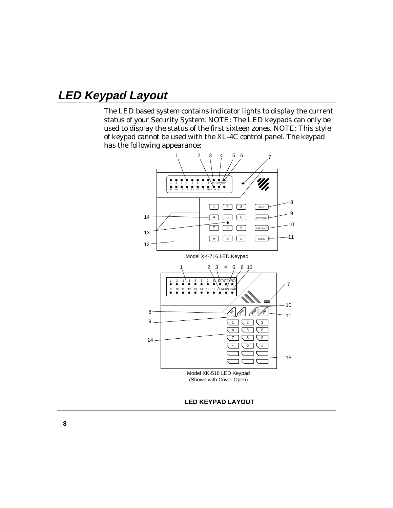## **LED Keypad Layout**

The LED based system contains indicator lights to display the current status of your Security System. NOTE: The LED keypads can only be used to display the status of the first sixteen zones. NOTE: This style of keypad cannot be used with the XL-4C control panel. The keypad has the following appearance:



**LED KEYPAD LAYOUT**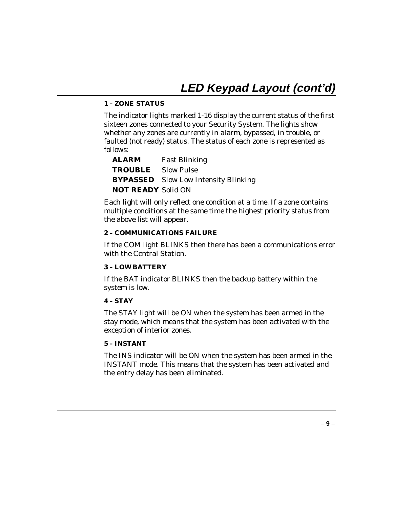# **LED Keypad Layout (cont'd)**

### **1 – ZONE STATUS**

The indicator lights marked 1-16 display the current status of the first sixteen zones connected to your Security System. The lights show whether any zones are currently in alarm, bypassed, in trouble, or faulted (not ready) status. The status of each zone is represented as follows:

| <b>ALARM</b>              | <b>Fast Blinking</b>                        |
|---------------------------|---------------------------------------------|
| <b>TROUBLE</b> Slow Pulse |                                             |
|                           | <b>BYPASSED</b> Slow Low Intensity Blinking |
| <b>NOT READY Solid ON</b> |                                             |

Each light will only reflect one condition at a time. If a zone contains multiple conditions at the same time the highest priority status from the above list will appear.

### **2 – COMMUNICATIONS FAILURE**

If the COM light BLINKS then there has been a communications error with the Central Station.

### **3 – LOW BATTERY**

If the BAT indicator BLINKS then the backup battery within the system is low.

### **4 – STAY**

The STAY light will be ON when the system has been armed in the stay mode, which means that the system has been activated with the exception of interior zones.

### **5 – INSTANT**

The INS indicator will be ON when the system has been armed in the INSTANT mode. This means that the system has been activated and the entry delay has been eliminated.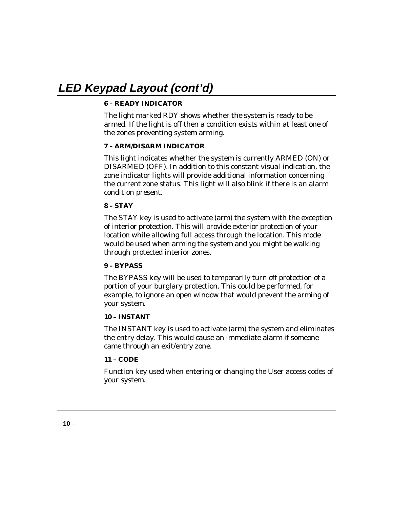# **LED Keypad Layout (cont'd)**

### **6 – READY INDICATOR**

The light marked RDY shows whether the system is ready to be armed. If the light is off then a condition exists within at least one of the zones preventing system arming.

### **7 – ARM/DISARM INDICATOR**

This light indicates whether the system is currently ARMED (ON) or DISARMED (OFF). In addition to this constant visual indication, the zone indicator lights will provide additional information concerning the current zone status. This light will also blink if there is an alarm condition present.

### **8 – STAY**

The STAY key is used to activate (arm) the system with the exception of interior protection. This will provide exterior protection of your location while allowing full access through the location. This mode would be used when arming the system and you might be walking through protected interior zones.

### **9 – BYPASS**

The BYPASS key will be used to temporarily turn off protection of a portion of your burglary protection. This could be performed, for example, to ignore an open window that would prevent the arming of your system.

### **10 – INSTANT**

The INSTANT key is used to activate (arm) the system and eliminates the entry delay. This would cause an immediate alarm if someone came through an exit/entry zone.

### **11 – CODE**

Function key used when entering or changing the User access codes of your system.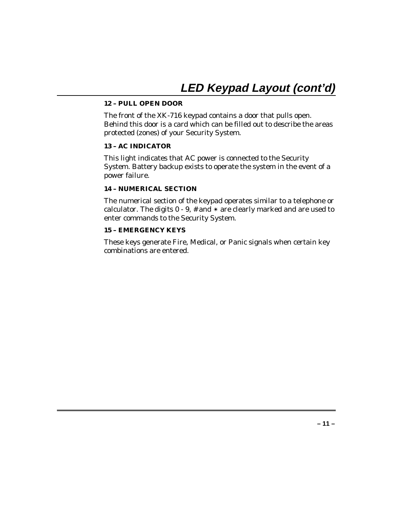# **LED Keypad Layout (cont'd)**

### **12 – PULL OPEN DOOR**

The front of the XK-716 keypad contains a door that pulls open. Behind this door is a card which can be filled out to describe the areas protected (zones) of your Security System.

### **13 – AC INDICATOR**

This light indicates that AC power is connected to the Security System. Battery backup exists to operate the system in the event of a power failure.

### **14 – NUMERICAL SECTION**

The numerical section of the keypad operates similar to a telephone or calculator. The digits  $0 - 9$ , # and  $*$  are clearly marked and are used to enter commands to the Security System.

### **15 – EMERGENCY KEYS**

These keys generate Fire, Medical, or Panic signals when certain key combinations are entered.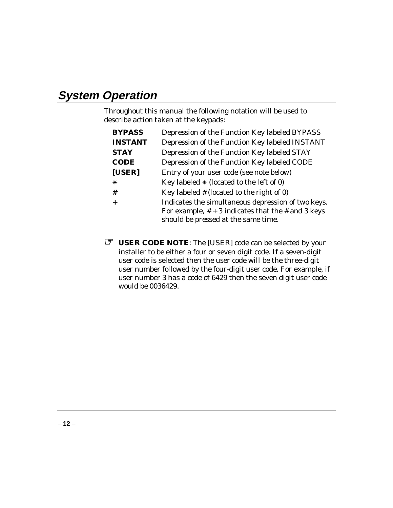## **System Operation**

Throughout this manual the following notation will be used to describe action taken at the keypads:

| <b>BYPASS</b>  | Depression of the Function Key labeled BYPASS                                                                                                       |
|----------------|-----------------------------------------------------------------------------------------------------------------------------------------------------|
| <b>INSTANT</b> | Depression of the Function Key labeled INSTANT                                                                                                      |
| <b>STAY</b>    | Depression of the Function Key labeled STAY                                                                                                         |
| <b>CODE</b>    | Depression of the Function Key labeled CODE                                                                                                         |
| [USER]         | Entry of your user code (see note below)                                                                                                            |
| ∗              | Key labeled $*$ (located to the left of 0)                                                                                                          |
| #              | Key labeled $#$ (located to the right of 0)                                                                                                         |
|                | Indicates the simultaneous depression of two keys.<br>For example, $# + 3$ indicates that the $#$ and 3 keys<br>should be pressed at the same time. |

☞ **USER CODE NOTE**: The [USER] code can be selected by your installer to be either a four or seven digit code. If a seven-digit user code is selected then the user code will be the three-digit user number followed by the four-digit user code. For example, if user number 3 has a code of 6429 then the seven digit user code would be 0036429.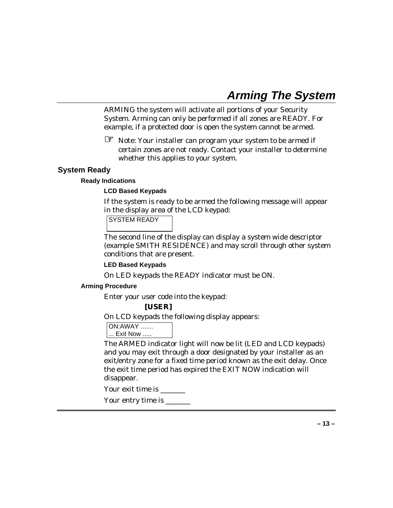## **Arming The System**

ARMING the system will activate all portions of your Security System. Arming can only be performed if all zones are READY. For example, if a protected door is open the system cannot be armed.

☞ Note: Your installer can program your system to be armed if certain zones are not ready. Contact your installer to determine whether this applies to your system.

### **System Ready**

### **Ready Indications**

### **LCD Based Keypads**

If the system is ready to be armed the following message will appear in the display area of the LCD keypad:

SYSTEM READY

The second line of the display can display a system wide descriptor (example SMITH RESIDENCE) and may scroll through other system conditions that are present.

### **LED Based Keypads**

On LED keypads the READY indicator must be ON.

### **Arming Procedure**

Enter your user code into the keypad:

### **[USER]**

On LCD keypads the following display appears:

ON:AWAY ……

... Exit Now .....

The ARMED indicator light will now be lit (LED and LCD keypads) and you may exit through a door designated by your installer as an exit/entry zone for a fixed time period known as the exit delay. Once the exit time period has expired the EXIT NOW indication will disappear.

Your exit time is

Your entry time is \_\_\_\_\_\_\_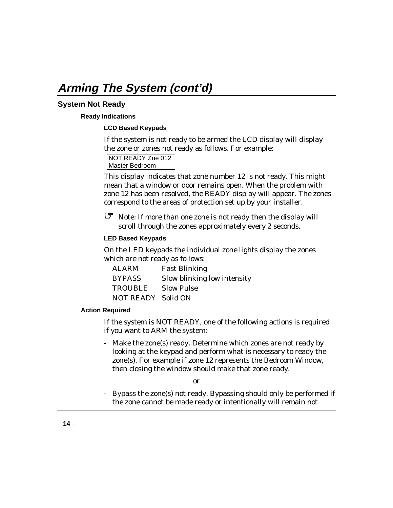## **Arming The System (cont'd)**

### **System Not Ready**

### **Ready Indications**

### **LCD Based Keypads**

If the system is not ready to be armed the LCD display will display the zone or zones not ready as follows. For example:

NOT READY Zne 012 Master Bedroom

This display indicates that zone number 12 is not ready. This might mean that a window or door remains open. When the problem with zone 12 has been resolved, the READY display will appear. The zones correspond to the areas of protection set up by your installer.

☞ Note: If more than one zone is not ready then the display will scroll through the zones approximately every 2 seconds.

### **LED Based Keypads**

On the LED keypads the individual zone lights display the zones which are not ready as follows:

| <b>ALARM</b>       | <b>Fast Blinking</b>        |
|--------------------|-----------------------------|
| <b>BYPASS</b>      | Slow blinking low intensity |
| TROUBLE            | <b>Slow Pulse</b>           |
| NOT READY Solid ON |                             |

### **Action Required**

If the system is NOT READY, one of the following actions is required if you want to ARM the system:

- Make the zone(s) ready. Determine which zones are not ready by looking at the keypad and perform what is necessary to ready the zone(s). For example if zone 12 represents the Bedroom Window, then closing the window should make that zone ready.

or

- Bypass the zone(s) not ready. Bypassing should only be performed if the zone cannot be made ready or intentionally will remain not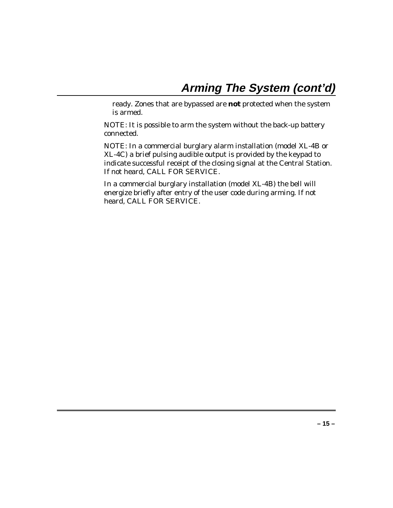ready. Zones that are bypassed are **not** protected when the system is armed.

NOTE: It is possible to arm the system without the back-up battery connected.

NOTE: In a commercial burglary alarm installation (model XL-4B or XL-4C) a brief pulsing audible output is provided by the keypad to indicate successful receipt of the closing signal at the Central Station. If not heard, CALL FOR SERVICE.

In a commercial burglary installation (model XL-4B) the bell will energize briefly after entry of the user code during arming. If not heard, CALL FOR SERVICE.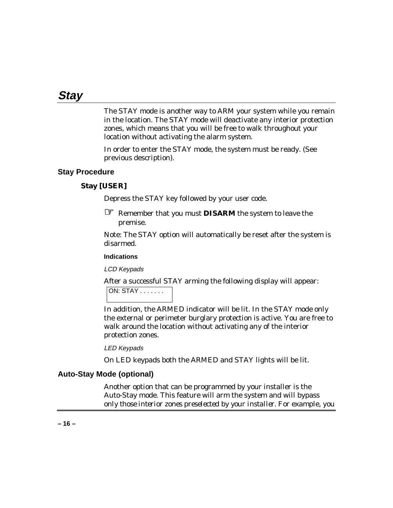### **Stay**

The STAY mode is another way to ARM your system while you remain in the location. The STAY mode will deactivate any interior protection zones, which means that you will be free to walk throughout your location without activating the alarm system.

In order to enter the STAY mode, the system must be ready. (See previous description).

### **Stay Procedure**

### **Stay [USER]**

Depress the STAY key followed by your user code.

☞ Remember that you must **DISARM** the system to leave the

premise.

Note: The STAY option will automatically be reset after the system is disarmed.

### **Indications**

LCD Keypads

After a successful STAY arming the following display will appear:

```
ON: STAY . . . . . . .
```
In addition, the ARMED indicator will be lit. In the STAY mode only the external or perimeter burglary protection is active. You are free to walk around the location without activating any of the interior protection zones.

LED Keypads

On LED keypads both the ARMED and STAY lights will be lit.

### **Auto-Stay Mode (optional)**

Another option that can be programmed by your installer is the Auto-Stay mode. This feature will arm the system and will bypass *only those interior zones preselected by your installer*. For example, you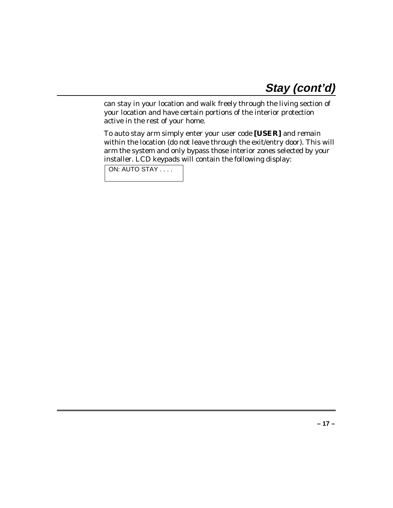can stay in your location and walk freely through the living section of your location and have certain portions of the interior protection active in the rest of your home.

To auto stay arm simply enter your user code **[USER]** and remain within the location (do not leave through the exit/entry door). This will arm the system and only bypass those interior zones selected by your installer. LCD keypads will contain the following display:

ON: AUTO STAY . . . .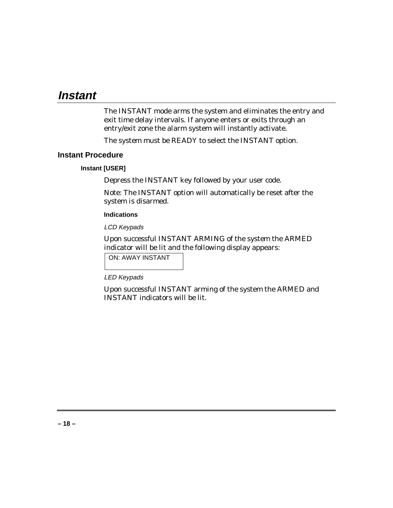### **Instant**

The INSTANT mode arms the system and eliminates the entry and exit time delay intervals. If anyone enters or exits through an entry/exit zone the alarm system will instantly activate.

The system must be READY to select the INSTANT option.

### **Instant Procedure**

### **Instant [USER]**

Depress the INSTANT key followed by your user code.

Note: The INSTANT option will automatically be reset after the system is disarmed.

### **Indications**

LCD Keypads

Upon successful INSTANT ARMING of the system the ARMED indicator will be lit and the following display appears:

ON: AWAY INSTANT

LED Keypads

Upon successful INSTANT arming of the system the ARMED and INSTANT indicators will be lit.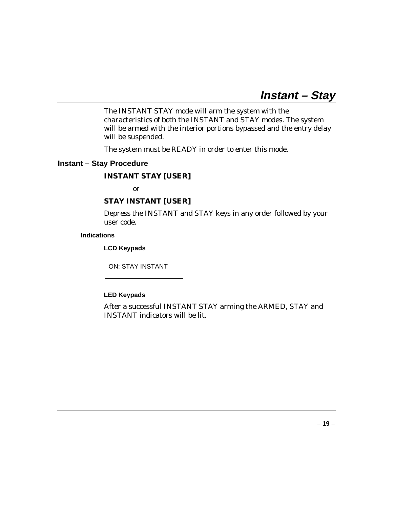The INSTANT STAY mode will arm the system with the characteristics of both the INSTANT and STAY modes. The system will be armed with the interior portions bypassed and the entry delay will be suspended.

The system must be READY in order to enter this mode.

### **Instant – Stay Procedure**

### **INSTANT STAY [USER]**

or

### **STAY INSTANT [USER]**

Depress the INSTANT and STAY keys in any order followed by your user code.

### **Indications**

**LCD Keypads**

ON: STAY INSTANT

### **LED Keypads**

After a successful INSTANT STAY arming the ARMED, STAY and INSTANT indicators will be lit.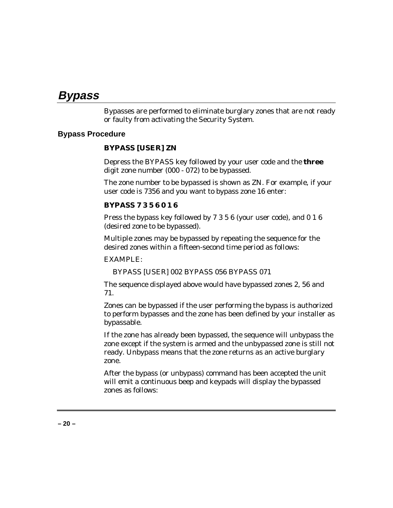### **Bypass**

Bypasses are performed to eliminate burglary zones that are not ready or faulty from activating the Security System.

### **Bypass Procedure**

### **BYPASS [USER] ZN**

Depress the BYPASS key followed by your user code and the **three** digit zone number (000 - 072) to be bypassed.

The zone number to be bypassed is shown as ZN. For example, if your user code is 7356 and you want to bypass zone 16 enter:

### **BYPASS 7 3 5 6 0 1 6**

Press the bypass key followed by 7 3 5 6 (your user code), and 0 1 6 (desired zone to be bypassed).

Multiple zones may be bypassed by repeating the sequence for the desired zones within a fifteen-second time period as follows:

### EXAMPLE:

BYPASS [USER] 002 BYPASS 056 BYPASS 071

The sequence displayed above would have bypassed zones 2, 56 and 71.

Zones can be bypassed if the user performing the bypass is authorized to perform bypasses and the zone has been defined by your installer as bypassable.

If the zone has already been bypassed, the sequence will unbypass the zone except if the system is armed and the unbypassed zone is still not ready. Unbypass means that the zone returns as an active burglary zone.

After the bypass (or unbypass) command has been accepted the unit will emit a continuous beep and keypads will display the bypassed zones as follows: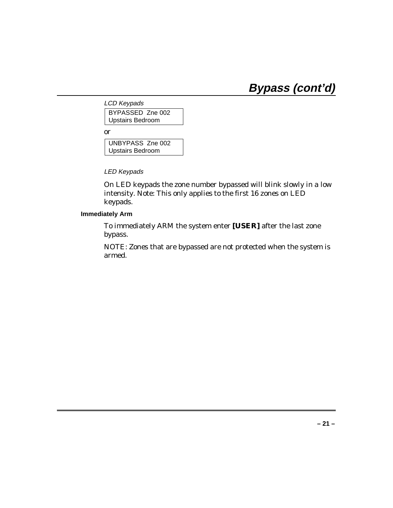# **Bypass (cont'd)**

LCD Keypads BYPASSED Zne 002 Upstairs Bedroom

or

UNBYPASS Zne 002 Upstairs Bedroom

LED Keypads

On LED keypads the zone number bypassed will blink slowly in a low intensity. Note: This only applies to the first 16 zones on LED keypads.

**Immediately Arm**

To immediately ARM the system enter **[USER]** after the last zone bypass.

NOTE: Zones that are bypassed are not protected when the system is armed.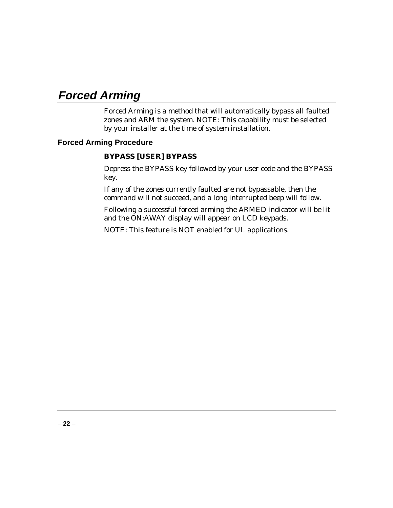## **Forced Arming**

Forced Arming is a method that will automatically bypass all faulted zones and ARM the system. NOTE: This capability must be selected by your installer at the time of system installation.

### **Forced Arming Procedure**

### **BYPASS [USER] BYPASS**

Depress the BYPASS key followed by your user code and the BYPASS key.

If any of the zones currently faulted are not bypassable, then the command will not succeed, and a long interrupted beep will follow.

Following a successful forced arming the ARMED indicator will be lit and the ON:AWAY display will appear on LCD keypads.

NOTE: This feature is NOT enabled for UL applications.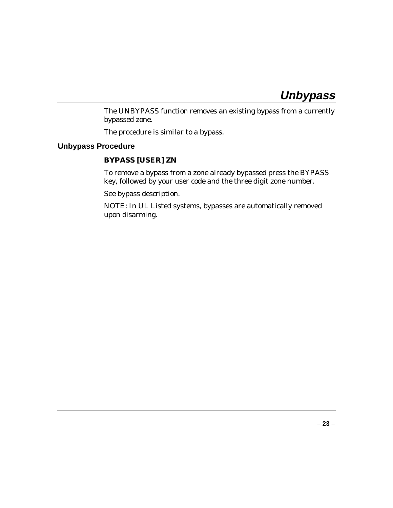## **Unbypass**

The UNBYPASS function removes an existing bypass from a currently bypassed zone.

The procedure is similar to a bypass.

### **Unbypass Procedure**

### **BYPASS [USER] ZN**

To remove a bypass from a zone already bypassed press the BYPASS key, followed by your user code and the three digit zone number.

See bypass description.

NOTE: In UL Listed systems, bypasses are automatically removed upon disarming.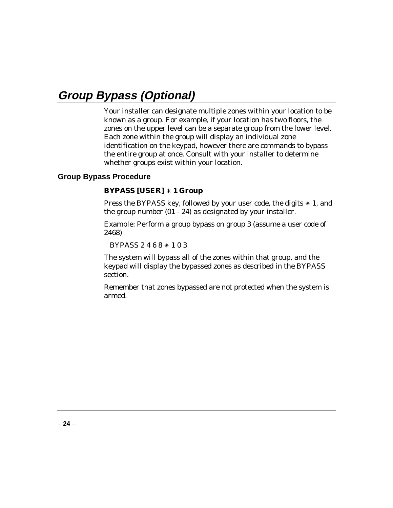## **Group Bypass (Optional)**

Your installer can designate multiple zones within your location to be known as a group. For example, if your location has two floors, the zones on the upper level can be a separate group from the lower level. Each zone within the group will display an individual zone identification on the keypad, however there are commands to bypass the entire group at once. Consult with your installer to determine whether groups exist within your location.

### **Group Bypass Procedure**

### **BYPASS [USER]** ✴ **1 Group**

Press the BYPASS key, followed by your user code, the digits  $*$  1, and the group number (01 - 24) as designated by your installer.

Example: Perform a group bypass on group 3 (assume a user code of 2468)

BYPASS 2 4 6 8 ✴ 1 0 3

The system will bypass all of the zones within that group, and the keypad will display the bypassed zones as described in the BYPASS section.

Remember that zones bypassed are not protected when the system is armed.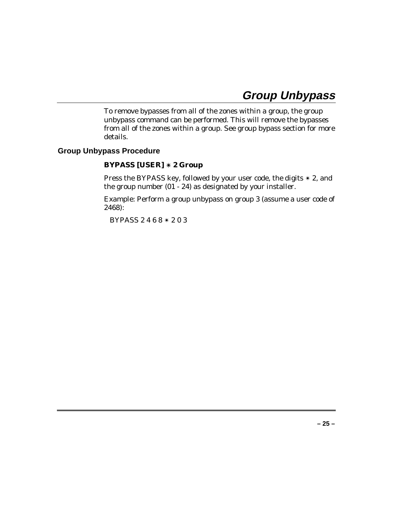## **Group Unbypass**

To remove bypasses from all of the zones within a group, the group unbypass command can be performed. This will remove the bypasses from all of the zones within a group. See group bypass section for more details.

### **Group Unbypass Procedure**

### **BYPASS [USER]** ✴ **2 Group**

Press the BYPASS key, followed by your user code, the digits ✴ 2, and the group number (01 - 24) as designated by your installer.

Example: Perform a group unbypass on group 3 (assume a user code of 2468):

BYPASS 2 4 6 8 ✴ 2 0 3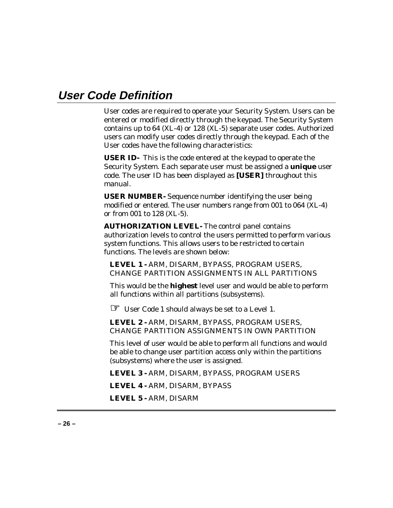### **User Code Definition**

User codes are required to operate your Security System. Users can be entered or modified directly through the keypad. The Security System contains up to 64 (XL-4) or 128 (XL-5) separate user codes. Authorized users can modify user codes directly through the keypad. Each of the User codes have the following characteristics:

**USER ID-** This is the code entered at the keypad to operate the Security System. Each separate user must be assigned a **unique** user code. The user ID has been displayed as **[USER]** throughout this manual.

**USER NUMBER-** Sequence number identifying the user being modified or entered. The user numbers range from 001 to 064 (XL-4) or from 001 to 128 (XL-5).

**AUTHORIZATION LEVEL-** The control panel contains authorization levels to control the users permitted to perform various system functions. This allows users to be restricted to certain functions. The levels are shown below:

**LEVEL 1 -** ARM, DISARM, BYPASS, PROGRAM USERS, CHANGE PARTITION ASSIGNMENTS IN ALL PARTITIONS

This would be the **highest** level user and would be able to perform all functions within all partitions (subsystems).

☞ User Code 1 should always be set to a Level 1.

**LEVEL 2 -** ARM, DISARM, BYPASS, PROGRAM USERS, CHANGE PARTITION ASSIGNMENTS IN OWN PARTITION

This level of user would be able to perform all functions and would be able to change user partition access only within the partitions (subsystems) where the user is assigned.

**LEVEL 3 -** ARM, DISARM, BYPASS, PROGRAM USERS

**LEVEL 4 -** ARM, DISARM, BYPASS

**LEVEL 5 -** ARM, DISARM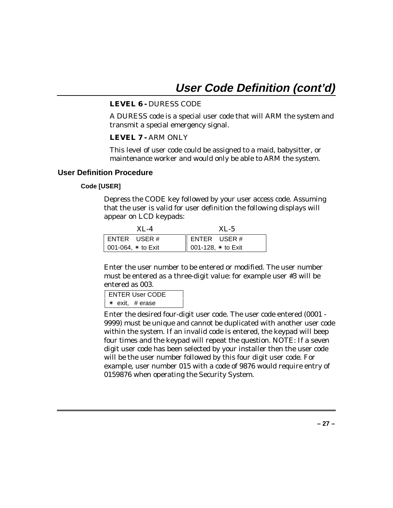### **LEVEL 6 -** DURESS CODE

A DURESS code is a special user code that will ARM the system and transmit a special emergency signal.

### **LEVEL 7 -** ARM ONLY

This level of user code could be assigned to a maid, babysitter, or maintenance worker and would only be able to ARM the system.

### **User Definition Procedure**

### **Code [USER]**

Depress the CODE key followed by your user access code. Assuming that the user is valid for user definition the following displays will appear on LCD keypads:

| $XI. -4$             | $XI - 5$                 |
|----------------------|--------------------------|
| ENTER USER#          | $\parallel$ ENTER USER # |
| 001-064, $*$ to Exit | 001-128, * to Exit       |

Enter the user number to be entered or modified. The user number must be entered as a three-digit value: for example user #3 will be entered as 003.

```
ENTER User CODE
✴ exit, # erase
```
Enter the desired four-digit user code. The user code entered (0001 - 9999) must be unique and cannot be duplicated with another user code within the system. If an invalid code is entered, the keypad will beep four times and the keypad will repeat the question. NOTE: If a seven digit user code has been selected by your installer then the user code will be the user number followed by this four digit user code. For example, user number 015 with a code of 9876 would require entry of 0159876 when operating the Security System.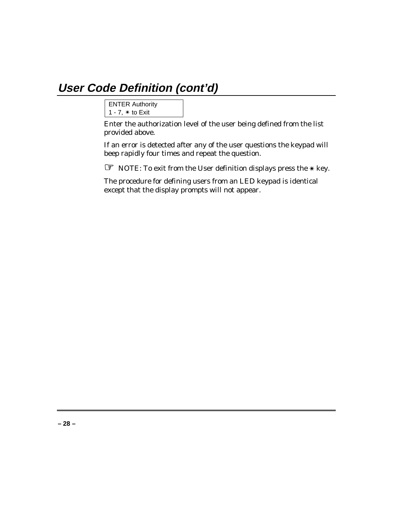## **User Code Definition (cont'd)**

```
ENTER Authority
1 - 7, ✴ to Exit
```
Enter the authorization level of the user being defined from the list provided above.

If an error is detected after any of the user questions the keypad will beep rapidly four times and repeat the question.

☞ NOTE: To exit from the User definition displays press the ✴ key.

The procedure for defining users from an LED keypad is identical except that the display prompts will not appear.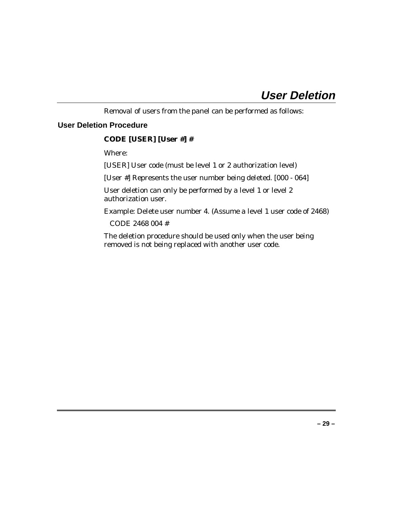Removal of users from the panel can be performed as follows:

### **User Deletion Procedure**

### **CODE [USER] [User #] #**

Where:

[USER] User code (must be level 1 or 2 authorization level)

[User #] Represents the user number being deleted. [000 - 064]

User deletion can only be performed by a level 1 or level 2 authorization user.

Example: Delete user number 4. (Assume a level 1 user code of 2468)

CODE 2468 004 #

The deletion procedure should be used only when the user being removed is not being replaced with another user code.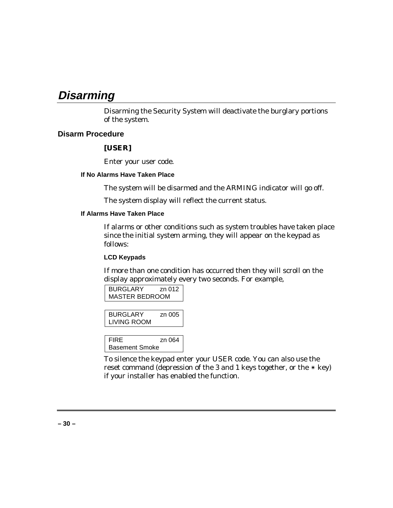### **Disarming**

Disarming the Security System will deactivate the burglary portions of the system.

### **Disarm Procedure**

### **[USER]**

Enter your user code.

### **If No Alarms Have Taken Place**

The system will be disarmed and the ARMING indicator will go off.

The system display will reflect the current status.

### **If Alarms Have Taken Place**

If alarms or other conditions such as system troubles have taken place since the initial system arming, they will appear on the keypad as follows:

### **LCD Keypads**

If more than one condition has occurred then they will scroll on the display approximately every two seconds. For example,

| <b>BURGLARY</b>       | zn 012 |
|-----------------------|--------|
| <b>MASTER BEDROOM</b> |        |

| <b>BURGLARY</b> | zn 005 |
|-----------------|--------|
| LIVING ROOM     |        |

FIRE zn 064 Basement Smoke

To silence the keypad enter your USER code. You can also use the reset command (depression of the 3 and 1 keys together, or the  $*$  key) if your installer has enabled the function.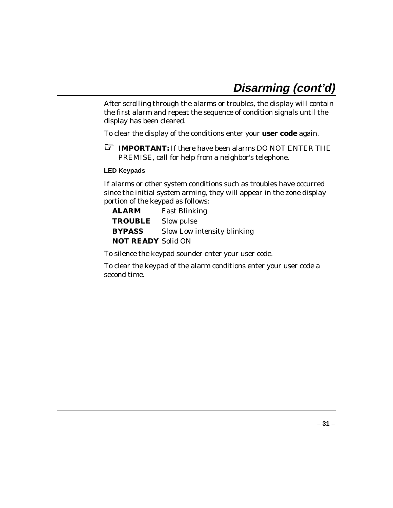After scrolling through the alarms or troubles, the display will contain the first alarm and repeat the sequence of condition signals until the display has been cleared.

To clear the display of the conditions enter your **user code** again.

**EF IMPORTANT:** If there have been alarms DO NOT ENTER THE PREMISE, call for help from a neighbor's telephone.

### **LED Keypads**

If alarms or other system conditions such as troubles have occurred since the initial system arming, they will appear in the zone display portion of the keypad as follows:

| <b>ALARM</b>              | <b>Fast Blinking</b>        |
|---------------------------|-----------------------------|
| <b>TROUBLE</b> Slow pulse |                             |
| <b>BYPASS</b>             | Slow Low intensity blinking |
| <b>NOT READY Solid ON</b> |                             |

To silence the keypad sounder enter your user code.

To clear the keypad of the alarm conditions enter your user code a second time.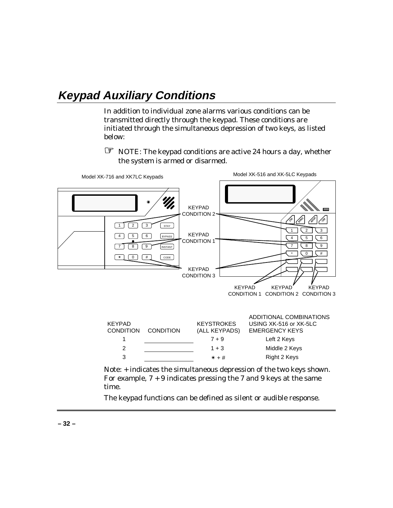## **Keypad Auxiliary Conditions**

In addition to individual zone alarms various conditions can be transmitted directly through the keypad. These conditions are initiated through the simultaneous depression of two keys, as listed below:

☞ NOTE: The keypad conditions are active 24 hours a day, whether the system is armed or disarmed.



For example,  $7 + 9$  indicates pressing the 7 and 9 keys at the same time.

The keypad functions can be defined as silent or audible response.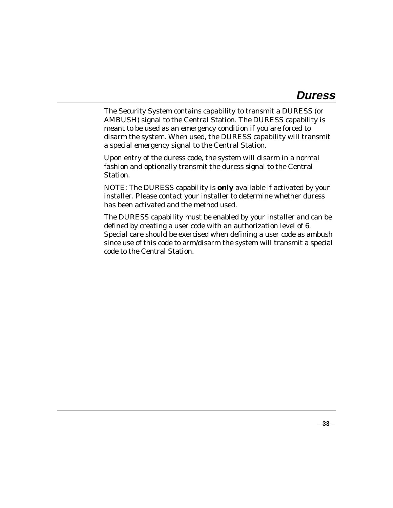The Security System contains capability to transmit a DURESS (or AMBUSH) signal to the Central Station. The DURESS capability is meant to be used as an emergency condition if you are forced to disarm the system. When used, the DURESS capability will transmit a special emergency signal to the Central Station.

Upon entry of the duress code, the system will disarm in a normal fashion and optionally transmit the duress signal to the Central Station.

NOTE: The DURESS capability is **only** available if activated by your installer. Please contact your installer to determine whether duress has been activated and the method used.

The DURESS capability must be enabled by your installer and can be defined by creating a user code with an authorization level of 6. Special care should be exercised when defining a user code as ambush since use of this code to arm/disarm the system will transmit a special code to the Central Station.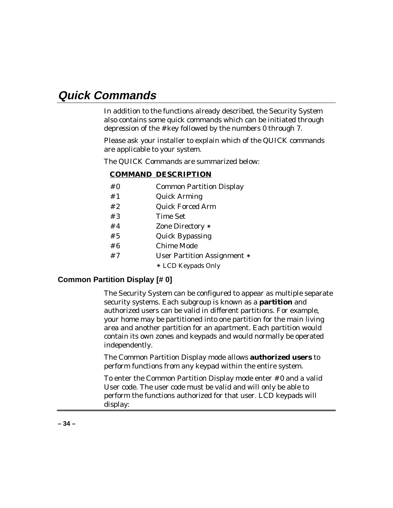### **Quick Commands**

In addition to the functions already described, the Security System also contains some quick commands which can be initiated through depression of the # key followed by the numbers 0 through 7.

Please ask your installer to explain which of the QUICK commands are applicable to your system.

The QUICK Commands are summarized below:

### **COMMAND DESCRIPTION**

- # 0 Common Partition Display
- # 1 Quick Arming
- # 2 Quick Forced Arm
- # 3 Time Set
- # 4 Zone Directory ✴
- # 5 Quick Bypassing
- # 6 Chime Mode
- # 7 User Partition Assignment ✴
	- ✴ LCD Keypads Only

### **Common Partition Display [# 0]**

The Security System can be configured to appear as multiple separate security systems. Each subgroup is known as a **partition** and authorized users can be valid in different partitions. For example, your home may be partitioned into one partition for the main living area and another partition for an apartment. Each partition would contain its own zones and keypads and would normally be operated independently.

The Common Partition Display mode allows **authorized users** to perform functions from any keypad within the entire system.

To enter the Common Partition Display mode enter # 0 and a valid User code. The user code must be valid and will only be able to perform the functions authorized for that user. LCD keypads will display: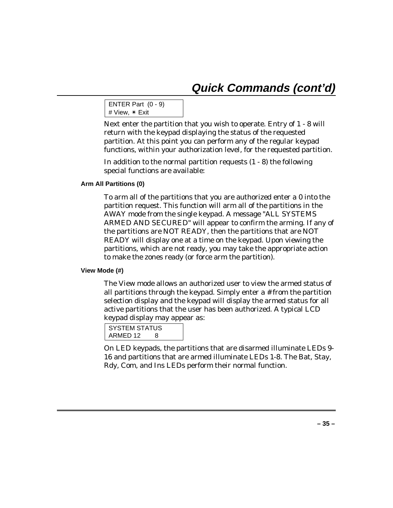```
ENTER Part (0 - 9)
# View, ✴ Exit
```
Next enter the partition that you wish to operate. Entry of 1 - 8 will return with the keypad displaying the status of the requested partition. At this point you can perform any of the regular keypad functions, within your authorization level, for the requested partition.

In addition to the normal partition requests (1 - 8) the following special functions are available:

### **Arm All Partitions (0)**

To arm all of the partitions that you are authorized enter a 0 into the partition request. This function will arm all of the partitions in the AWAY mode from the single keypad. A message "ALL SYSTEMS ARMED AND SECURED" will appear to confirm the arming. If any of the partitions are NOT READY, then the partitions that are NOT READY will display one at a time on the keypad. Upon viewing the partitions, which are not ready, you may take the appropriate action to make the zones ready (or force arm the partition).

### **View Mode (#)**

The View mode allows an authorized user to view the armed status of all partitions through the keypad. Simply enter a # from the partition selection display and the keypad will display the armed status for all active partitions that the user has been authorized. A typical LCD keypad display may appear as:

```
SYSTEM STATUS
ARMED 12 8
```
On LED keypads, the partitions that are disarmed illuminate LEDs 9- 16 and partitions that are armed illuminate LEDs 1-8. The Bat, Stay, Rdy, Com, and Ins LEDs perform their normal function.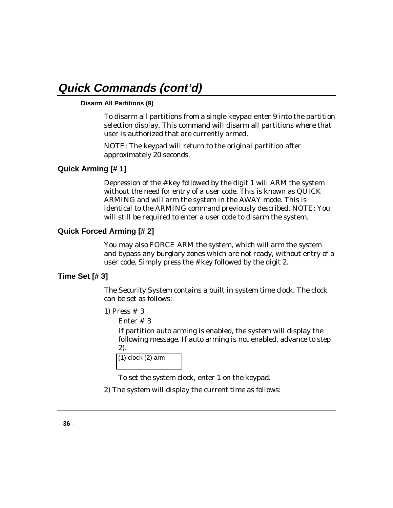### **Disarm All Partitions (9)**

To disarm all partitions from a single keypad enter 9 into the partition selection display. This command will disarm all partitions where that user is authorized that are currently armed.

NOTE: The keypad will return to the original partition after approximately 20 seconds.

### **Quick Arming [# 1]**

Depression of the # key followed by the digit 1 will ARM the system without the need for entry of a user code. This is known as QUICK ARMING and will arm the system in the AWAY mode. This is identical to the ARMING command previously described. NOTE: You will still be required to enter a user code to disarm the system.

### **Quick Forced Arming [# 2]**

You may also FORCE ARM the system, which will arm the system and bypass any burglary zones which are not ready, without entry of a user code. Simply press the # key followed by the digit 2.

### **Time Set [# 3]**

The Security System contains a built in system time clock. The clock can be set as follows:

- 1) Press # 3
	- Enter # 3

If partition auto arming is enabled, the system will display the following message. If auto arming is not enabled, advance to step 2).

| $(1)$ clock $(2)$ arm |  |
|-----------------------|--|
|                       |  |

To set the system clock, enter 1 on the keypad.

2) The system will display the current time as follows: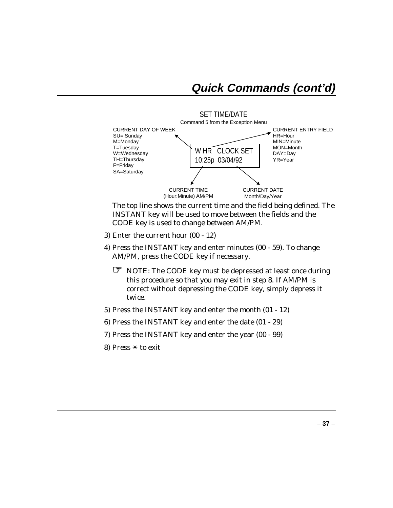

SET TIME/DATE

The top line shows the current time and the field being defined. The *INSTANT* key will be used to move between the fields and the *CODE* key is used to change between AM/PM.

- 3) Enter the current hour (00 12)
- 4) Press the INSTANT key and enter minutes (00 59). To change AM/PM, press the CODE key if necessary.
	- ☞ NOTE: The CODE key must be depressed at least once during this procedure so that you may exit in step 8. If AM/PM is correct without depressing the CODE key, simply depress it twice.
- 5) Press the INSTANT key and enter the month (01 12)
- 6) Press the INSTANT key and enter the date (01 29)
- 7) Press the INSTANT key and enter the year (00 99)
- 8) Press ✴ to exit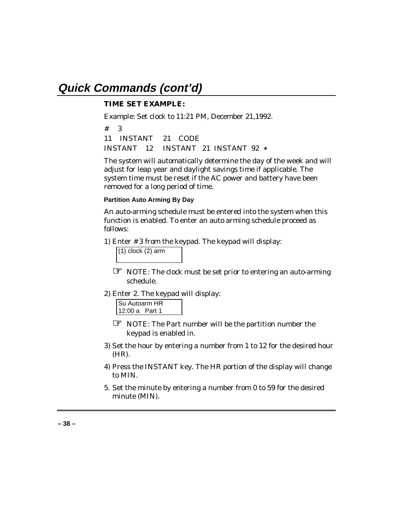### **TIME SET EXAMPLE:**

Example: Set clock to 11:21 PM, December 21,1992.

# 3 11 INSTANT 21 CODE INSTANT 12 INSTANT 21 INSTANT 92 ✴

The system will automatically determine the day of the week and will adjust for leap year and daylight savings time if applicable. The system time must be reset if the AC power and battery have been removed for a long period of time.

### **Partition Auto Arming By Day**

An auto-arming schedule must be entered into the system when this function is enabled. To enter an auto arming schedule proceed as follows:

1) Enter # 3 from the keypad. The keypad will display:

 $(1)$  clock  $(2)$  arm

☞ NOTE: The clock must be set prior to entering an auto-arming schedule.

2) Enter 2. The keypad will display:

| Su Autoarm HR  |  |  |
|----------------|--|--|
| 12:00 a Part 1 |  |  |
|                |  |  |

- ☞ NOTE: The Part number will be the partition number the keypad is enabled in.
- 3) Set the hour by entering a number from 1 to 12 for the desired hour (HR).
- 4) Press the INSTANT key. The HR portion of the display will change to MIN.
- 5. Set the minute by entering a number from 0 to 59 for the desired minute (MIN).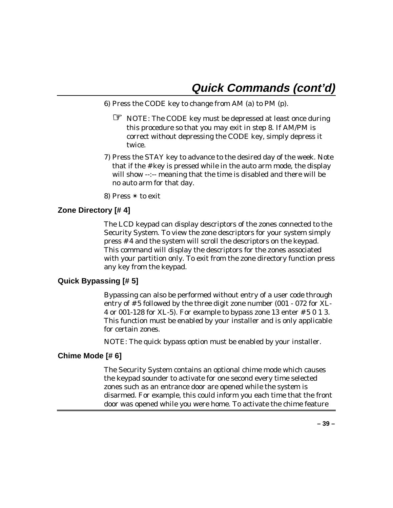- 6) Press the CODE key to change from AM (a) to PM (p).
	- ☞ NOTE: The CODE key must be depressed at least once during this procedure so that you may exit in step 8. If AM/PM is correct without depressing the CODE key, simply depress it twice.
- 7) Press the STAY key to advance to the desired day of the week. Note that if the # key is pressed while in the auto arm mode, the display will show --:-- meaning that the time is disabled and there will be no auto arm for that day.
- 8) Press ✴ to exit

### **Zone Directory [# 4]**

The LCD keypad can display descriptors of the zones connected to the Security System. To view the zone descriptors for your system simply press # 4 and the system will scroll the descriptors on the keypad. This command will display the descriptors for the zones associated with your partition only. To exit from the zone directory function press any key from the keypad.

### **Quick Bypassing [# 5]**

Bypassing can also be performed without entry of a user code through entry of # 5 followed by the three digit zone number (001 - 072 for XL-4 or 001-128 for XL-5). For example to bypass zone 13 enter # 5 0 1 3. This function must be enabled by your installer and is only applicable for certain zones.

NOTE: The quick bypass option must be enabled by your installer.

### **Chime Mode [# 6]**

The Security System contains an optional chime mode which causes the keypad sounder to activate for one second every time selected zones such as an entrance door are opened while the system is disarmed. For example, this could inform you each time that the front door was opened while you were home. To activate the chime feature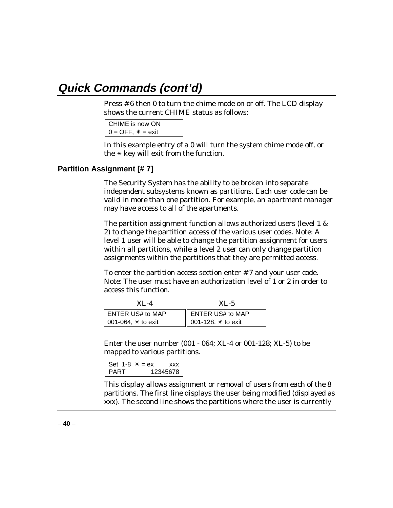Press # 6 then 0 to turn the chime mode on or off. The LCD display shows the current CHIME status as follows:

```
CHIME is now ON
0 = OFF, * = exit
```
In this example entry of a 0 will turn the system chime mode off, or the ✴ key will exit from the function.

### **Partition Assignment [# 7]**

The Security System has the ability to be broken into separate independent subsystems known as partitions. Each user code can be valid in more than one partition. For example, an apartment manager may have access to all of the apartments.

The partition assignment function allows authorized users (level 1 & 2) to change the partition access of the various user codes. Note: A level 1 user will be able to change the partition assignment for users within all partitions, while a level 2 user can only change partition assignments within the partitions that they are permitted access.

To enter the partition access section enter # 7 and your user code. Note: The user must have an authorization level of 1 or 2 in order to access this function.

| $XI. -4$                     | $XL-5$                       |
|------------------------------|------------------------------|
| ENTER US# to MAP             | ENTER US# to MAP             |
| $\vert$ 001-064, $*$ to exit | $\  001 - 128$ , $*$ to exit |

Enter the user number (001 - 064; XL-4 or 001-128; XL-5) to be mapped to various partitions.

```
Set 1-8 * = ex xxx
PART 12345678
```
This display allows assignment or removal of users from each of the 8 partitions. The first line displays the user being modified (displayed as xxx). The second line shows the partitions where the user is currently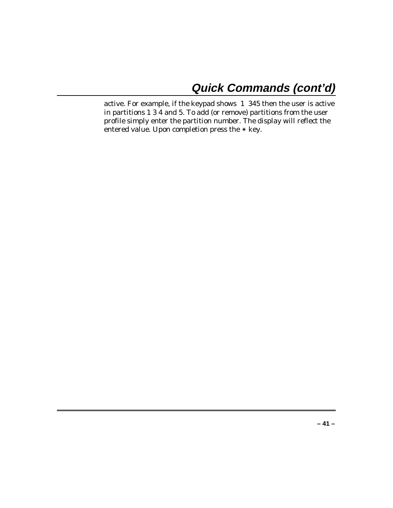active. For example, if the keypad shows 1 345 then the user is active in partitions 1 3 4 and 5. To add (or remove) partitions from the user profile simply enter the partition number. The display will reflect the entered value. Upon completion press the  $*$  key.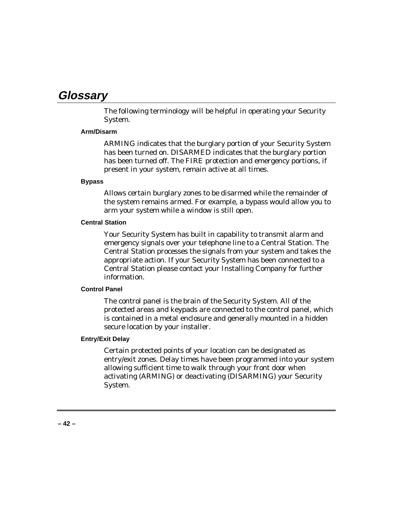### **Glossary**

The following terminology will be helpful in operating your Security System.

### **Arm/Disarm**

ARMING indicates that the burglary portion of your Security System has been turned on. DISARMED indicates that the burglary portion has been turned off. The FIRE protection and emergency portions, if present in your system, remain active at all times.

### **Bypass**

Allows certain burglary zones to be disarmed while the remainder of the system remains armed. For example, a bypass would allow you to arm your system while a window is still open.

### **Central Station**

Your Security System has built in capability to transmit alarm and emergency signals over your telephone line to a Central Station. The Central Station processes the signals from your system and takes the appropriate action. If your Security System has been connected to a Central Station please contact your Installing Company for further information.

### **Control Panel**

The control panel is the brain of the Security System. All of the protected areas and keypads are connected to the control panel, which is contained in a metal enclosure and generally mounted in a hidden secure location by your installer.

### **Entry/Exit Delay**

Certain protected points of your location can be designated as entry/exit zones. Delay times have been programmed into your system allowing sufficient time to walk through your front door when activating (ARMING) or deactivating (DISARMING) your Security System.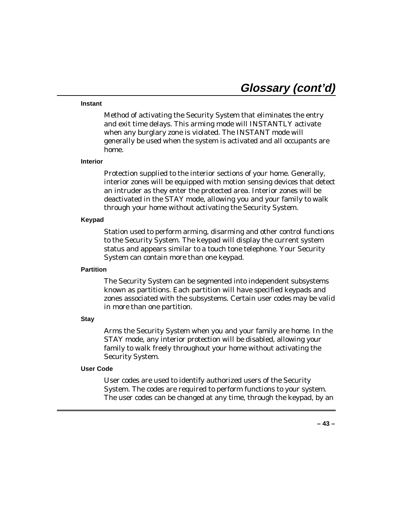#### **Instant**

Method of activating the Security System that eliminates the entry and exit time delays. This arming mode will INSTANTLY activate when any burglary zone is violated. The INSTANT mode will generally be used when the system is activated and all occupants are home.

#### **Interior**

Protection supplied to the interior sections of your home. Generally, interior zones will be equipped with motion sensing devices that detect an intruder as they enter the protected area. Interior zones will be deactivated in the STAY mode, allowing you and your family to walk through your home without activating the Security System.

#### **Keypad**

Station used to perform arming, disarming and other control functions to the Security System. The keypad will display the current system status and appears similar to a touch tone telephone. Your Security System can contain more than one keypad.

#### **Partition**

The Security System can be segmented into independent subsystems known as partitions. Each partition will have specified keypads and zones associated with the subsystems. Certain user codes may be valid in more than one partition.

#### **Stay**

Arms the Security System when you and your family are home. In the STAY mode, any interior protection will be disabled, allowing your family to walk freely throughout your home without activating the Security System.

### **User Code**

User codes are used to identify authorized users of the Security System. The codes are required to perform functions to your system. The user codes can be changed at any time, through the keypad, by an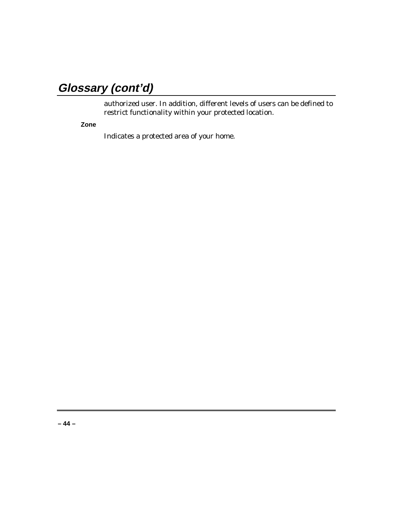# **Glossary (cont'd)**

authorized user. In addition, different levels of users can be defined to restrict functionality within your protected location.

**Zone**

Indicates a protected area of your home.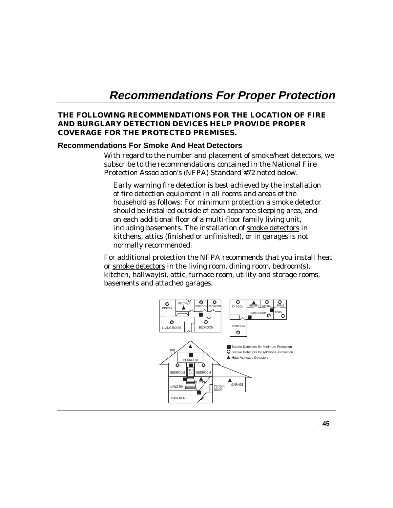## **Recommendations For Proper Protection**

### **THE FOLLOWING RECOMMENDATIONS FOR THE LOCATION OF FIRE AND BURGLARY DETECTION DEVICES HELP PROVIDE PROPER COVERAGE FOR THE PROTECTED PREMISES.**

### **Recommendations For Smoke And Heat Detectors**

With regard to the number and placement of smoke/heat detectors, we subscribe to the recommendations contained in the National Fire Protection Association's (NFPA) Standard #72 noted below.

Early warning fire detection is best achieved by the installation of fire detection equipment in all rooms and areas of the household as follows: For minimum protection a smoke detector should be installed outside of each separate sleeping area, and on each additional floor of a multi-floor family living unit, including basements. The installation of smoke detectors in kitchens, attics (finished or unfinished), or in garages is not normally recommended.

For additional protection the NFPA recommends that you install heat or smoke detectors in the living room, dining room, bedroom(s), kitchen, hallway(s), attic, furnace room, utility and storage rooms, basements and attached garages.

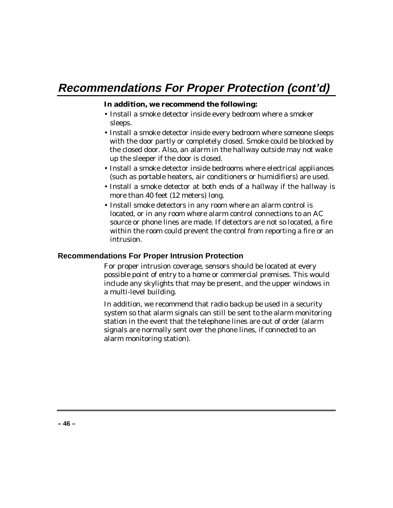### **In addition, we recommend the following:**

- Install a smoke detector inside every bedroom where a smoker sleeps.
- Install a smoke detector inside every bedroom where someone sleeps with the door partly or completely closed. Smoke could be blocked by the closed door. Also, an alarm in the hallway outside may not wake up the sleeper if the door is closed.
- Install a smoke detector inside bedrooms where electrical appliances (such as portable heaters, air conditioners or humidifiers) are used.
- Install a smoke detector at both ends of a hallway if the hallway is more than 40 feet (12 meters) long.
- Install smoke detectors in any room where an alarm control is located, or in any room where alarm control connections to an AC source or phone lines are made. If detectors are not so located, a fire within the room could prevent the control from reporting a fire or an intrusion.

### **Recommendations For Proper Intrusion Protection**

For proper intrusion coverage, sensors should be located at every possible point of entry to a home or commercial premises. This would include any skylights that may be present, and the upper windows in a multi-level building.

In addition, we recommend that radio backup be used in a security system so that alarm signals can still be sent to the alarm monitoring station in the event that the telephone lines are out of order (alarm signals are normally sent over the phone lines, if connected to an alarm monitoring station).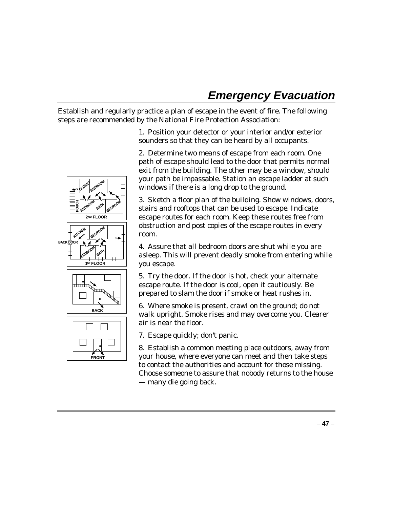## **Emergency Evacuation**

Establish and regularly practice a plan of escape in the event of fire. The following steps are recommended by the National Fire Protection Association:

**BEDROOM CLOSE BEDROOM PORCH BEDROOM BATH D** FLOOR **BEDROOM KITCHEN BACK DOOR BEDROOM BATH 1 FLOOR ST** •  $\mathbb{Q}_{\text{untr}}$ • **BACK** • **FRONT**

1. Position your detector or your interior and/or exterior sounders so that they can be heard by all occupants.

2. Determine two means of escape from each room. One path of escape should lead to the door that permits normal exit from the building. The other may be a window, should your path be impassable. Station an escape ladder at such windows if there is a long drop to the ground.

3. Sketch a floor plan of the building. Show windows, doors, stairs and rooftops that can be used to escape. Indicate escape routes for each room. Keep these routes free from obstruction and post copies of the escape routes in every room.

4. Assure that all bedroom doors are shut while you are asleep. This will prevent deadly smoke from entering while you escape.

5. Try the door. If the door is hot, check your alternate escape route. If the door is cool, open it cautiously. Be prepared to slam the door if smoke or heat rushes in.

6. Where smoke is present, crawl on the ground; do not walk upright. Smoke rises and may overcome you. Clearer air is near the floor.

7. Escape quickly; don't panic.

8. Establish a common meeting place outdoors, away from your house, where everyone can meet and then take steps to contact the authorities and account for those missing. Choose someone to assure that nobody returns to the house — many die going back.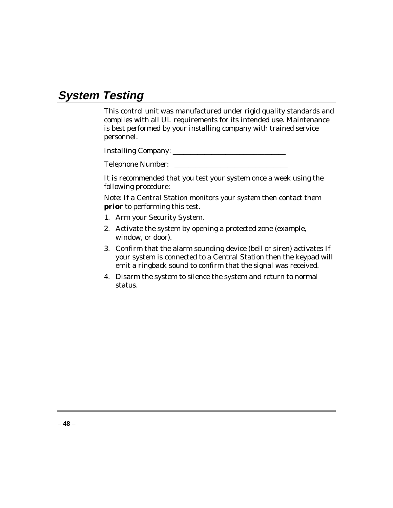## **System Testing**

This control unit was manufactured under rigid quality standards and complies with all UL requirements for its intended use. Maintenance is best performed by your installing company with trained service personnel.

Installing Company: \_\_\_\_\_\_\_\_\_\_\_\_\_\_\_\_\_\_\_\_\_\_\_\_\_\_\_\_\_\_\_\_

Telephone Number: \_\_\_\_\_\_\_\_\_\_\_\_\_\_\_\_\_\_\_\_\_\_\_\_\_\_\_\_\_\_\_\_

It is recommended that you test your system once a week using the following procedure:

Note: If a Central Station monitors your system then contact them **prior** to performing this test.

- 1. Arm your Security System.
- 2. Activate the system by opening a protected zone (example, window, or door).
- 3. Confirm that the alarm sounding device (bell or siren) activates If your system is connected to a Central Station then the keypad will emit a ringback sound to confirm that the signal was received.
- 4. Disarm the system to silence the system and return to normal status.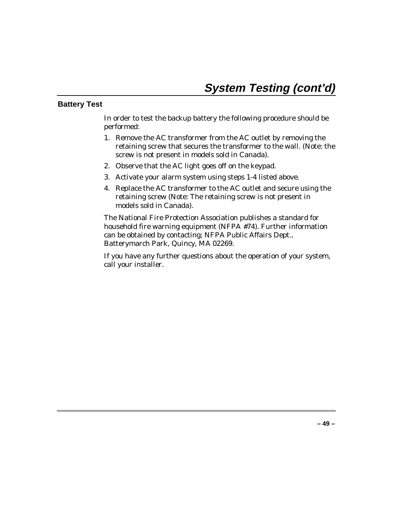### **Battery Test**

In order to test the backup battery the following procedure should be performed:

- 1. Remove the AC transformer from the AC outlet by removing the retaining screw that secures the transformer to the wall. (Note: the screw is not present in models sold in Canada).
- 2. Observe that the AC light goes off on the keypad.
- 3. Activate your alarm system using steps 1-4 listed above.
- 4. Replace the AC transformer to the AC outlet and secure using the retaining screw (Note: The retaining screw is not present in models sold in Canada).

The National Fire Protection Association publishes a standard for household fire warning equipment (NFPA #74). Further information can be obtained by contacting; NFPA Public Affairs Dept., Batterymarch Park, Quincy, MA 02269.

If you have any further questions about the operation of your system, call your installer.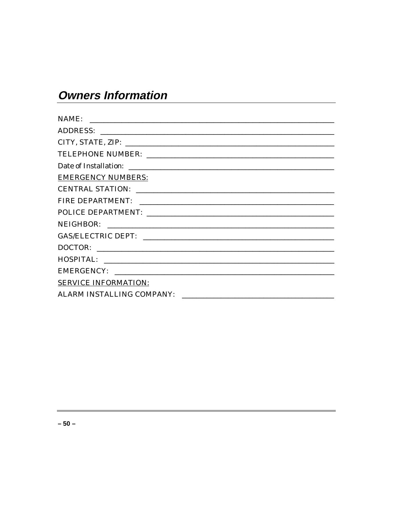# **Owners Information**

| NAME:<br><u> 1980 - Jan James James Jan James James James James James James James James James James James James James Jam</u> |
|-------------------------------------------------------------------------------------------------------------------------------|
|                                                                                                                               |
|                                                                                                                               |
|                                                                                                                               |
|                                                                                                                               |
| <b>EMERGENCY NUMBERS:</b>                                                                                                     |
| CENTRAL STATION: LAND CONTRAL STATION                                                                                         |
|                                                                                                                               |
|                                                                                                                               |
|                                                                                                                               |
|                                                                                                                               |
|                                                                                                                               |
|                                                                                                                               |
|                                                                                                                               |
| <b>SERVICE INFORMATION:</b>                                                                                                   |
| <b>ALARM INSTALLING COMPANY:</b>                                                                                              |
|                                                                                                                               |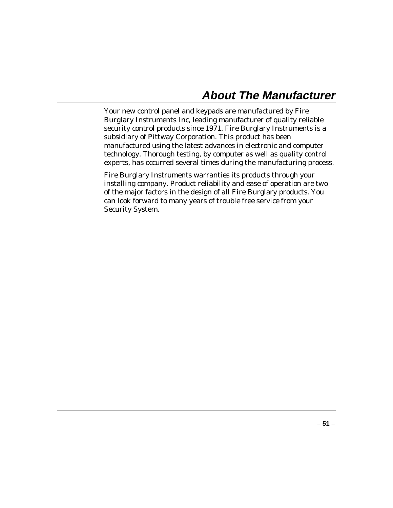### **About The Manufacturer**

Your new control panel and keypads are manufactured by Fire Burglary Instruments Inc, leading manufacturer of quality reliable security control products since 1971. Fire Burglary Instruments is a subsidiary of Pittway Corporation. This product has been manufactured using the latest advances in electronic and computer technology. Thorough testing, by computer as well as quality control experts, has occurred several times during the manufacturing process.

Fire Burglary Instruments warranties its products through your installing company. Product reliability and ease of operation are two of the major factors in the design of all Fire Burglary products. You can look forward to many years of trouble free service from your Security System.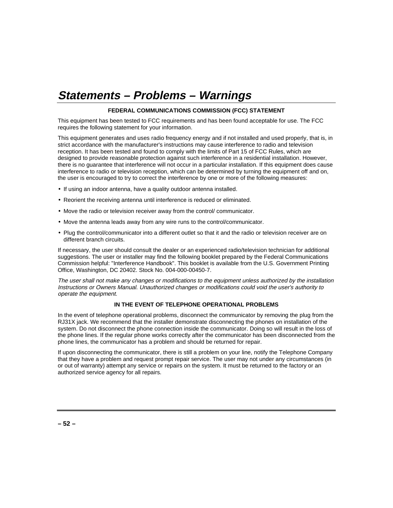## **Statements – Problems – Warnings**

#### **FEDERAL COMMUNICATIONS COMMISSION (FCC) STATEMENT**

This equipment has been tested to FCC requirements and has been found acceptable for use. The FCC requires the following statement for your information.

This equipment generates and uses radio frequency energy and if not installed and used properly, that is, in strict accordance with the manufacturer's instructions may cause interference to radio and television reception. It has been tested and found to comply with the limits of Part 15 of FCC Rules, which are designed to provide reasonable protection against such interference in a residential installation. However, there is no guarantee that interference will not occur in a particular installation. If this equipment does cause interference to radio or television reception, which can be determined by turning the equipment off and on, the user is encouraged to try to correct the interference by one or more of the following measures:

- If using an indoor antenna, have a quality outdoor antenna installed.
- Reorient the receiving antenna until interference is reduced or eliminated.
- Move the radio or television receiver away from the control/ communicator.
- Move the antenna leads away from any wire runs to the control/communicator.
- Plug the control/communicator into a different outlet so that it and the radio or television receiver are on different branch circuits.

If necessary, the user should consult the dealer or an experienced radio/television technician for additional suggestions. The user or installer may find the following booklet prepared by the Federal Communications Commission helpful: "Interference Handbook". This booklet is available from the U.S. Government Printing Office, Washington, DC 20402. Stock No. 004-000-00450-7.

The user shall not make any changes or modifications to the equipment unless authorized by the installation Instructions or Owners Manual. Unauthorized changes or modifications could void the user's authority to operate the equipment.

#### **IN THE EVENT OF TELEPHONE OPERATIONAL PROBLEMS**

In the event of telephone operational problems, disconnect the communicator by removing the plug from the RJ31X jack. We recommend that the installer demonstrate disconnecting the phones on installation of the system. Do not disconnect the phone connection inside the communicator. Doing so will result in the loss of the phone lines. If the regular phone works correctly after the communicator has been disconnected from the phone lines, the communicator has a problem and should be returned for repair.

If upon disconnecting the communicator, there is still a problem on your line, notify the Telephone Company that they have a problem and request prompt repair service. The user may not under any circumstances (in or out of warranty) attempt any service or repairs on the system. It must be returned to the factory or an authorized service agency for all repairs.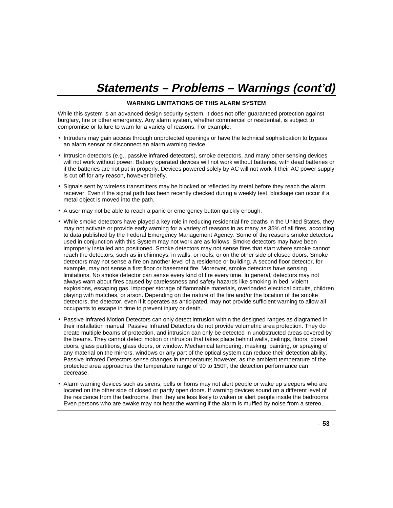## **Statements – Problems – Warnings (cont'd)**

#### **WARNING LIMITATIONS OF THIS ALARM SYSTEM**

While this system is an advanced design security system, it does not offer guaranteed protection against burglary, fire or other emergency. Any alarm system, whether commercial or residential, is subject to compromise or failure to warn for a variety of reasons. For example:

- Intruders may gain access through unprotected openings or have the technical sophistication to bypass an alarm sensor or disconnect an alarm warning device.
- Intrusion detectors (e.g., passive infrared detectors), smoke detectors, and many other sensing devices will not work without power. Battery operated devices will not work without batteries, with dead batteries or if the batteries are not put in properly. Devices powered solely by AC will not work if their AC power supply is cut off for any reason, however briefly.
- Signals sent by wireless transmitters may be blocked or reflected by metal before they reach the alarm receiver. Even if the signal path has been recently checked during a weekly test, blockage can occur if a metal object is moved into the path.
- A user may not be able to reach a panic or emergency button quickly enough.
- While smoke detectors have played a key role in reducing residential fire deaths in the United States, they may not activate or provide early warning for a variety of reasons in as many as 35% of all fires, according to data published by the Federal Emergency Management Agency. Some of the reasons smoke detectors used in conjunction with this System may not work are as follows: Smoke detectors may have been improperly installed and positioned. Smoke detectors may not sense fires that start where smoke cannot reach the detectors, such as in chimneys, in walls, or roofs, or on the other side of closed doors. Smoke detectors may not sense a fire on another level of a residence or building. A second floor detector, for example, may not sense a first floor or basement fire. Moreover, smoke detectors have sensing limitations. No smoke detector can sense every kind of fire every time. In general, detectors may not always warn about fires caused by carelessness and safety hazards like smoking in bed, violent explosions, escaping gas, improper storage of flammable materials, overloaded electrical circuits, children playing with matches, or arson. Depending on the nature of the fire and/or the location of the smoke detectors, the detector, even if it operates as anticipated, may not provide sufficient warning to allow all occupants to escape in time to prevent injury or death.
- Passive Infrared Motion Detectors can only detect intrusion within the designed ranges as diagramed in their installation manual. Passive Infrared Detectors do not provide volumetric area protection. They do create multiple beams of protection, and intrusion can only be detected in unobstructed areas covered by the beams. They cannot detect motion or intrusion that takes place behind walls, ceilings, floors, closed doors, glass partitions, glass doors, or window. Mechanical tampering, masking, painting, or spraying of any material on the mirrors, windows or any part of the optical system can reduce their detection ability. Passive Infrared Detectors sense changes in temperature; however, as the ambient temperature of the protected area approaches the temperature range of 90 to 150F, the detection performance can decrease.
- Alarm warning devices such as sirens, bells or horns may not alert people or wake up sleepers who are located on the other side of closed or partly open doors. If warning devices sound on a different level of the residence from the bedrooms, then they are less likely to waken or alert people inside the bedrooms. Even persons who are awake may not hear the warning if the alarm is muffled by noise from a stereo,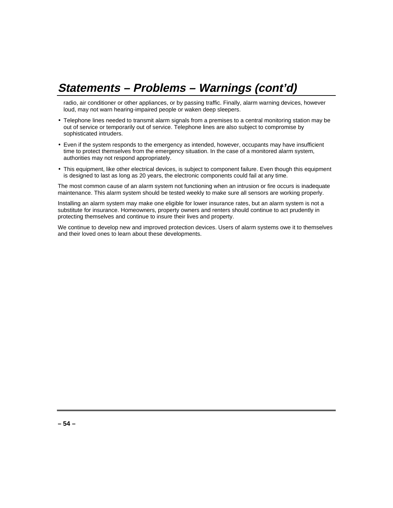## **Statements – Problems – Warnings (cont'd)**

radio, air conditioner or other appliances, or by passing traffic. Finally, alarm warning devices, however loud, may not warn hearing-impaired people or waken deep sleepers.

- Telephone lines needed to transmit alarm signals from a premises to a central monitoring station may be out of service or temporarily out of service. Telephone lines are also subject to compromise by sophisticated intruders.
- Even if the system responds to the emergency as intended, however, occupants may have insufficient time to protect themselves from the emergency situation. In the case of a monitored alarm system, authorities may not respond appropriately.
- This equipment, like other electrical devices, is subject to component failure. Even though this equipment is designed to last as long as 20 years, the electronic components could fail at any time.

The most common cause of an alarm system not functioning when an intrusion or fire occurs is inadequate maintenance. This alarm system should be tested weekly to make sure all sensors are working properly.

Installing an alarm system may make one eligible for lower insurance rates, but an alarm system is not a substitute for insurance. Homeowners, property owners and renters should continue to act prudently in protecting themselves and continue to insure their lives and property.

We continue to develop new and improved protection devices. Users of alarm systems owe it to themselves and their loved ones to learn about these developments.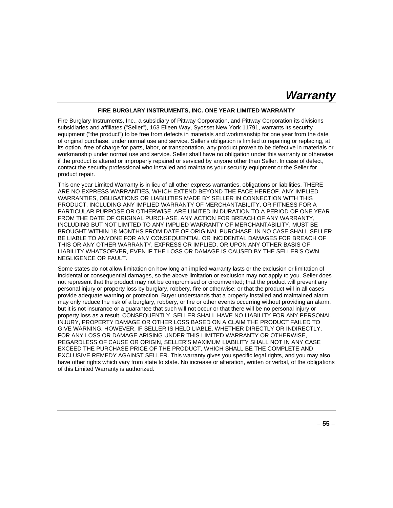### **Warranty**

#### **FIRE BURGLARY INSTRUMENTS, INC. ONE YEAR LIMITED WARRANTY**

Fire Burglary Instruments, Inc., a subsidiary of Pittway Corporation, and Pittway Corporation its divisions subsidiaries and affiliates ("Seller"), 163 Eileen Way, Syosset New York 11791, warrants its security equipment ("the product") to be free from defects in materials and workmanship for one year from the date of original purchase, under normal use and service. Seller's obligation is limited to repairing or replacing, at its option, free of charge for parts, labor, or transportation, any product proven to be defective in materials or workmanship under normal use and service. Seller shall have no obligation under this warranty or otherwise if the product is altered or improperly repaired or serviced by anyone other than Seller. In case of defect, contact the security professional who installed and maintains your security equipment or the Seller for product repair.

This one year Limited Warranty is in lieu of all other express warranties, obligations or liabilities. THERE ARE NO EXPRESS WARRANTIES, WHICH EXTEND BEYOND THE FACE HEREOF. ANY IMPLIED WARRANTIES, OBLIGATIONS OR LIABILITIES MADE BY SELLER IN CONNECTION WITH THIS PRODUCT, INCLUDING ANY IMPLIED WARRANTY OF MERCHANTABILITY, OR FITNESS FOR A PARTICULAR PURPOSE OR OTHERWISE, ARE LIMITED IN DURATION TO A PERIOD OF ONE YEAR FROM THE DATE OF ORIGINAL PURCHASE. ANY ACTION FOR BREACH OF ANY WARRANTY, INCLUDING BUT NOT LIMITED TO ANY IMPLIED WARRANTY OF MERCHANTABILITY, MUST BE BROUGHT WITHIN 18 MONTHS FROM DATE OF ORIGINAL PURCHASE. IN NO CASE SHALL SELLER BE LIABLE TO ANYONE FOR ANY CONSEQUENTIAL OR INCIDENTAL DAMAGES FOR BREACH OF THIS OR ANY OTHER WARRANTY, EXPRESS OR IMPLIED, OR UPON ANY OTHER BASIS OF LIABILITY WHATSOEVER, EVEN IF THE LOSS OR DAMAGE IS CAUSED BY THE SELLER'S OWN NEGLIGENCE OR FAULT.

Some states do not allow limitation on how long an implied warranty lasts or the exclusion or limitation of incidental or consequential damages, so the above limitation or exclusion may not apply to you. Seller does not represent that the product may not be compromised or circumvented; that the product will prevent any personal injury or property loss by burglary, robbery, fire or otherwise; or that the product will in all cases provide adequate warning or protection. Buyer understands that a properly installed and maintained alarm may only reduce the risk of a burglary, robbery, or fire or other events occurring without providing an alarm, but it is not insurance or a guarantee that such will not occur or that there will be no personal injury or property loss as a result. CONSEQUENTLY, SELLER SHALL HAVE NO LIABILITY FOR ANY PERSONAL INJURY, PROPERTY DAMAGE OR OTHER LOSS BASED ON A CLAIM THE PRODUCT FAILED TO GIVE WARNING. HOWEVER, IF SELLER IS HELD LIABLE, WHETHER DIRECTLY OR INDIRECTLY, FOR ANY LOSS OR DAMAGE ARISING UNDER THIS LIMITED WARRANTY OR OTHERWISE, REGARDLESS OF CAUSE OR ORIGIN, SELLER'S MAXIMUM LIABILITY SHALL NOT IN ANY CASE EXCEED THE PURCHASE PRICE OF THE PRODUCT, WHICH SHALL BE THE COMPLETE AND EXCLUSIVE REMEDY AGAINST SELLER. This warranty gives you specific legal rights, and you may also have other rights which vary from state to state. No increase or alteration, written or verbal, of the obligations of this Limited Warranty is authorized.